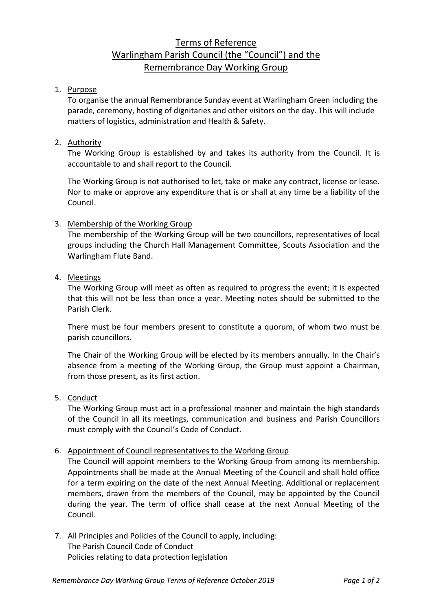# Terms of Reference Warlingham Parish Council (the "Council") and the Remembrance Day Working Group

## 1. Purpose

To organise the annual Remembrance Sunday event at Warlingham Green including the parade, ceremony, hosting of dignitaries and other visitors on the day. This will include matters of logistics, administration and Health & Safety.

## 2. Authority

The Working Group is established by and takes its authority from the Council. It is accountable to and shall report to the Council.

The Working Group is not authorised to let, take or make any contract, license or lease. Nor to make or approve any expenditure that is or shall at any time be a liability of the Council.

## 3. Membership of the Working Group

The membership of the Working Group will be two councillors, representatives of local groups including the Church Hall Management Committee, Scouts Association and the Warlingham Flute Band.

### 4. Meetings

The Working Group will meet as often as required to progress the event; it is expected that this will not be less than once a year. Meeting notes should be submitted to the Parish Clerk.

There must be four members present to constitute a quorum, of whom two must be parish councillors.

The Chair of the Working Group will be elected by its members annually. In the Chair's absence from a meeting of the Working Group, the Group must appoint a Chairman, from those present, as its first action.

### 5. Conduct

The Working Group must act in a professional manner and maintain the high standards of the Council in all its meetings, communication and business and Parish Councillors must comply with the Council's Code of Conduct.

### 6. Appointment of Council representatives to the Working Group

The Council will appoint members to the Working Group from among its membership. Appointments shall be made at the Annual Meeting of the Council and shall hold office for a term expiring on the date of the next Annual Meeting. Additional or replacement members, drawn from the members of the Council, may be appointed by the Council during the year. The term of office shall cease at the next Annual Meeting of the Council.

7. All Principles and Policies of the Council to apply, including: The Parish Council Code of Conduct Policies relating to data protection legislation